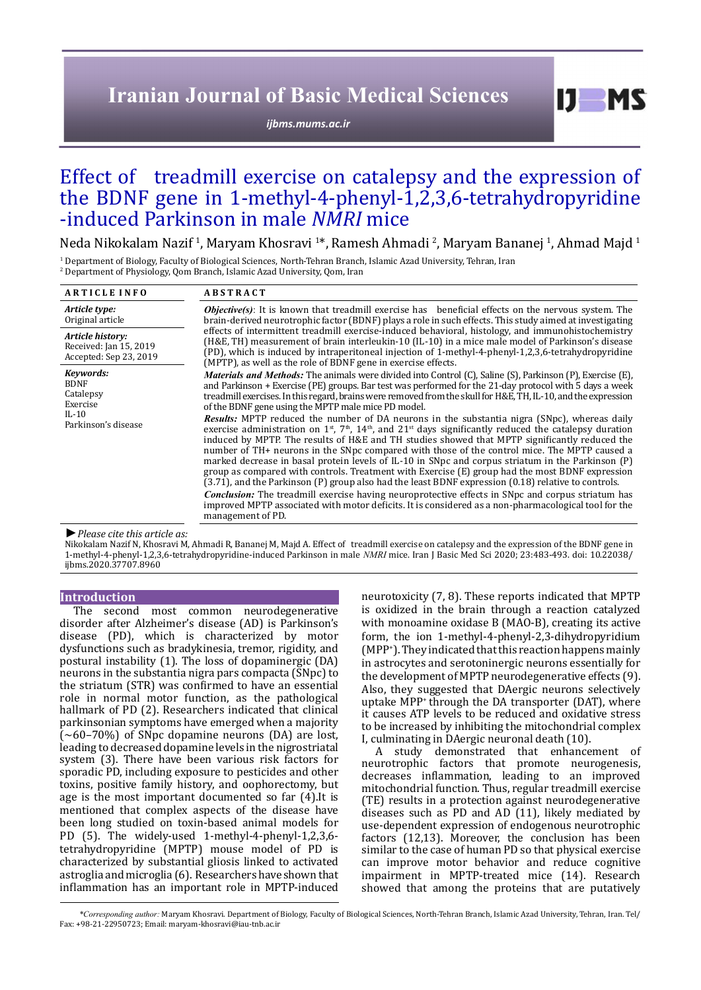# **Iranian Journal of Basic Medical Sciences**

*[ijbms.mums.ac.ir](http://ijbms.mums.ac.ir)*

 $I$   $I$   $M$   $S$ 

## Effect of treadmill exercise on catalepsy and the expression of the BDNF gene in 1-methyl-4-phenyl-1,2,3,6-tetrahydropyridine -induced Parkinson in male *NMRI* mice

Neda Nikokalam Nazif <sup>1</sup>, Maryam Khosravi <sup>1</sup>\*, Ramesh Ahmadi <sup>2</sup>, Maryam Bananej <sup>1</sup>, Ahmad Majd <sup>1</sup>

1 Department of Biology, Faculty of Biological Sciences, North-Tehran Branch, Islamic Azad University, Tehran, Iran 2 Department of Physiology, Qom Branch, Islamic Azad University, Qom, Iran

| <b>ARTICLE INFO</b>                                                  | <b>ABSTRACT</b>                                                                                                                                                                                                                                                                                                                                                                                                                                                                                                                                                                                                                                                                                                                                                                                                                                                                                                                                                                       |
|----------------------------------------------------------------------|---------------------------------------------------------------------------------------------------------------------------------------------------------------------------------------------------------------------------------------------------------------------------------------------------------------------------------------------------------------------------------------------------------------------------------------------------------------------------------------------------------------------------------------------------------------------------------------------------------------------------------------------------------------------------------------------------------------------------------------------------------------------------------------------------------------------------------------------------------------------------------------------------------------------------------------------------------------------------------------|
| Article type:<br>Original article                                    | <b><i>Objective(s)</i></b> : It is known that treadmill exercise has beneficial effects on the nervous system. The<br>brain-derived neurotrophic factor (BDNF) plays a role in such effects. This study aimed at investigating<br>effects of intermittent treadmill exercise-induced behavioral, histology, and immunohistochemistry<br>(H&E, TH) measurement of brain interleukin-10 (IL-10) in a mice male model of Parkinson's disease<br>(PD), which is induced by intraperitoneal injection of 1-methyl-4-phenyl-1,2,3,6-tetrahydropyridine<br>(MPTP), as well as the role of BDNF gene in exercise effects.                                                                                                                                                                                                                                                                                                                                                                     |
| Article history:<br>Received: Jan 15, 2019<br>Accepted: Sep 23, 2019 |                                                                                                                                                                                                                                                                                                                                                                                                                                                                                                                                                                                                                                                                                                                                                                                                                                                                                                                                                                                       |
| Keywords:<br><b>BDNF</b><br>Catalepsy<br>Exercise                    | <i>Materials and Methods:</i> The animals were divided into Control (C), Saline (S), Parkinson (P), Exercise (E),<br>and Parkinson + Exercise (PE) groups. Bar test was performed for the 21-day protocol with 5 days a week<br>treadmill exercises. In this regard, brains were removed from the skull for H&E, TH, IL-10, and the expression<br>of the BDNF gene using the MPTP male mice PD model.                                                                                                                                                                                                                                                                                                                                                                                                                                                                                                                                                                                 |
| $IL-10$<br>Parkinson's disease                                       | Results: MPTP reduced the number of DA neurons in the substantia nigra (SNpc), whereas daily<br>exercise administration on $1^{st}$ , $7^{th}$ , $14^{th}$ , and $21^{st}$ days significantly reduced the catalepsy duration<br>induced by MPTP. The results of H&E and TH studies showed that MPTP significantly reduced the<br>number of TH+ neurons in the SNpc compared with those of the control mice. The MPTP caused a<br>marked decrease in basal protein levels of IL-10 in SNpc and corpus striatum in the Parkinson (P)<br>group as compared with controls. Treatment with Exercise (E) group had the most BDNF expression<br>(3.71), and the Parkinson (P) group also had the least BDNF expression (0.18) relative to controls.<br><b>Conclusion:</b> The treadmill exercise having neuroprotective effects in SNpc and corpus striatum has<br>improved MPTP associated with motor deficits. It is considered as a non-pharmacological tool for the<br>management of PD. |

#### *►Please cite this article as:*

Nikokalam Nazif N, Khosravi M, Ahmadi R, Bananej M, Majd A. Effect of treadmill exercise on catalepsy and the expression of the BDNF gene in 1-methyl-4-phenyl-1,2,3,6-tetrahydropyridine-induced Parkinson in male *NMRI* mice. Iran J Basic Med Sci 2020; 23:483-493. doi: 10.22038/ ijbms.2020.37707.8960

## **Introduction**

The second most common neurodegenerative disorder after Alzheimer's disease (AD) is Parkinson's disease (PD), which is characterized by motor dysfunctions such as bradykinesia, tremor, rigidity, and postural instability (1). The loss of dopaminergic (DA) neurons in the substantia nigra pars compacta (SNpc) to the striatum (STR) was confirmed to have an essential role in normal motor function, as the pathological hallmark of PD (2). Researchers indicated that clinical parkinsonian symptoms have emerged when a majority (∼60–70%) of SNpc dopamine neurons (DA) are lost, leading to decreased dopamine levels in the nigrostriatal system (3). There have been various risk factors for sporadic PD, including exposure to pesticides and other toxins, positive family history, and oophorectomy, but age is the most important documented so far (4).It is mentioned that complex aspects of the disease have been long studied on toxin-based animal models for PD (5). The widely-used 1-methyl-4-phenyl-1,2,3,6 tetrahydropyridine (MPTP) mouse model of PD is characterized by substantial gliosis linked to activated astroglia and microglia (6). Researchers have shown that inflammation has an important role in MPTP-induced

neurotoxicity (7, 8). These reports indicated that MPTP is oxidized in the brain through a reaction catalyzed with monoamine oxidase B (MAO-B), creating its active form, the ion 1-methyl-4-phenyl-2,3-dihydropyridium (MPP+ ). They indicated thatthis reaction happens mainly in astrocytes and serotoninergic neurons essentially for the development of MPTP neurodegenerative effects (9). Also, they suggested that DAergic neurons selectively uptake MPP<sup>+</sup> through the DA transporter (DAT), where it causes ATP levels to be reduced and oxidative stress to be increased by inhibiting the mitochondrial complex I, culminating in DAergic neuronal death (10).

A study demonstrated that enhancement of neurotrophic factors that promote neurogenesis, decreases inflammation, leading to an improved mitochondrial function. Thus, regular treadmill exercise (TE) results in a protection against neurodegenerative diseases such as PD and AD (11), likely mediated by use-dependent expression of endogenous neurotrophic factors (12,13). Moreover, the conclusion has been similar to the case of human PD so that physical exercise can improve motor behavior and reduce cognitive impairment in MPTP-treated mice (14). Research showed that among the proteins that are putatively

*\*Corresponding author:* Maryam Khosravi. Department of Biology, Faculty of Biological Sciences, North-Tehran Branch, Islamic Azad University, Tehran, Iran. Tel/ Fax: +98-21-22950723; Email: maryam-khosravi@iau-tnb.ac.ir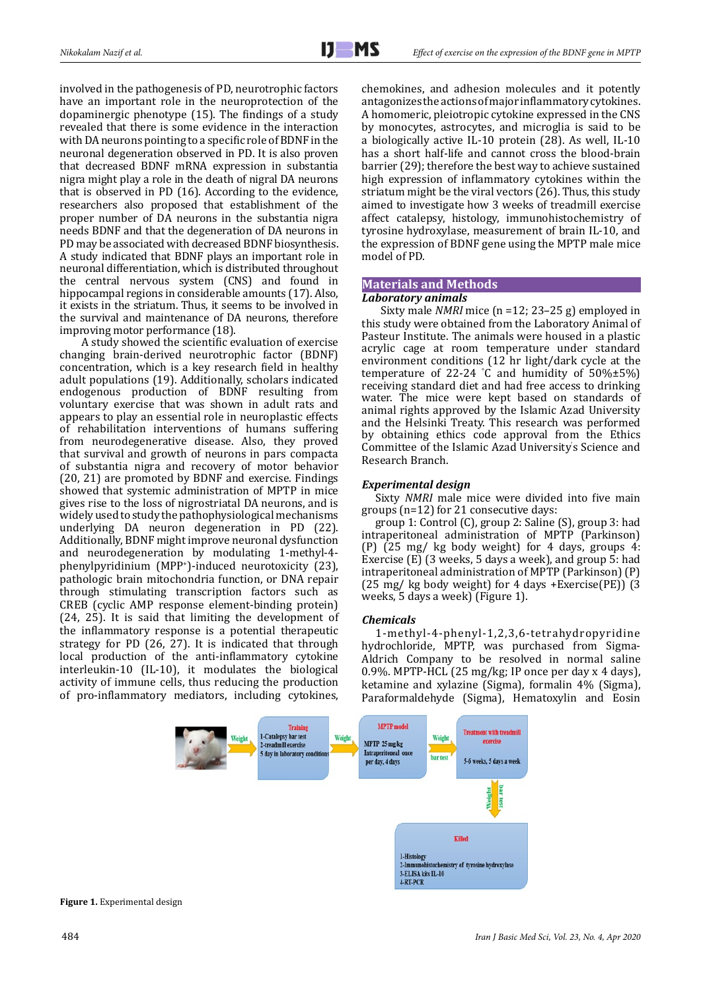involved in the pathogenesis of PD, neurotrophic factors have an important role in the neuroprotection of the dopaminergic phenotype (15). The findings of a study revealed that there is some evidence in the interaction with DA neurons pointing to a specific role of BDNF in the neuronal degeneration observed in PD. It is also proven that decreased BDNF mRNA expression in substantia nigra might play a role in the death of nigral DA neurons that is observed in PD (16). According to the evidence, researchers also proposed that establishment of the proper number of DA neurons in the substantia nigra needs BDNF and that the degeneration of DA neurons in PD may be associated with decreased BDNF biosynthesis. A study indicated that BDNF plays an important role in neuronal differentiation, which is distributed throughout the central nervous system (CNS) and found in hippocampal regions in considerable amounts (17). Also, it exists in the striatum. Thus, it seems to be involved in the survival and maintenance of DA neurons, therefore improving motor performance (18).

 A study showed the scientific evaluation of exercise changing brain-derived neurotrophic factor (BDNF) concentration, which is a key research field in healthy adult populations (19). Additionally, scholars indicated endogenous production of BDNF resulting from voluntary exercise that was shown in adult rats and appears to play an essential role in neuroplastic effects of rehabilitation interventions of humans suffering from neurodegenerative disease. Also, they proved that survival and growth of neurons in pars compacta of substantia nigra and recovery of motor behavior (20, 21) are promoted by BDNF and exercise. Findings showed that systemic administration of MPTP in mice gives rise to the loss of nigrostriatal DA neurons, and is widely used to study the pathophysiological mechanisms underlying DA neuron degeneration in PD (22). Additionally, BDNF might improve neuronal dysfunction and neurodegeneration by modulating 1-methyl-4 phenylpyridinium (MPP<sup>+</sup> )-induced neurotoxicity (23), pathologic brain mitochondria function, or DNA repair through stimulating transcription factors such as CREB (cyclic AMP response element-binding protein) (24, 25). It is said that limiting the development of the inflammatory response is a potential therapeutic strategy for PD (26, 27). It is indicated that through local production of the anti-inflammatory cytokine interleukin-10 (IL-10), it modulates the biological activity of immune cells, thus reducing the production of pro-inflammatory mediators, including cytokines,

chemokines, and adhesion molecules and it potently antagonizes the actions of major inflammatory cytokines. A homomeric, pleiotropic cytokine expressed in the CNS by monocytes, astrocytes, and microglia is said to be a biologically active IL-10 protein (28). As well, IL-10 has a short half-life and cannot cross the blood-brain barrier (29); therefore the best way to achieve sustained high expression of inflammatory cytokines within the striatum might be the viral vectors (26). Thus, this study aimed to investigate how 3 weeks of treadmill exercise affect catalepsy, histology, immunohistochemistry of tyrosine hydroxylase, measurement of brain IL-10, and the expression of BDNF gene using the MPTP male mice model of PD.

## **Materials and Methods**

## *Laboratory animals*

 Sixty male *NMRI* mice (n =12; 23–25 g) employed in this study were obtained from the Laboratory Animal of Pasteur Institute. The animals were housed in a plastic acrylic cage at room temperature under standard environment conditions (12 hr light/dark cycle at the temperature of 22-24 °C and humidity of  $50\% \pm 5\%$ ) receiving standard diet and had free access to drinking water. The mice were kept based on standards of animal rights approved by the Islamic Azad University and the Helsinki Treaty. This research was performed by obtaining ethics code approval from the Ethics Committee of the Islamic Azad University' s Science and Research Branch.

## *Experimental design*

Sixty *NMRI* male mice were divided into five main groups (n=12) for 21 consecutive days:

group 1: Control (C), group 2: Saline (S), group 3: had intraperitoneal administration of MPTP (Parkinson) (P) (25 mg/ kg body weight) for 4 days, groups 4: Exercise (E) (3 weeks, 5 days a week), and group 5: had intraperitoneal administration of MPTP (Parkinson) (P)  $(25 \text{ mg}/ \text{ kg}$  body weight) for 4 days +Exercise(PE))  $(3 \text{ m})$ weeks, 5 days a week) (Figure 1).

## *Chemicals*

1-methyl-4-phenyl-1,2,3,6-tetrahydropyridine hydrochloride, MPTP, was purchased from Sigma-Aldrich Company to be resolved in normal saline 0.9%. MPTP-HCL (25 mg/kg; IP once per day x 4 days), ketamine and xylazine (Sigma), formalin 4% (Sigma), Paraformaldehyde (Sigma), Hematoxylin and Eosin

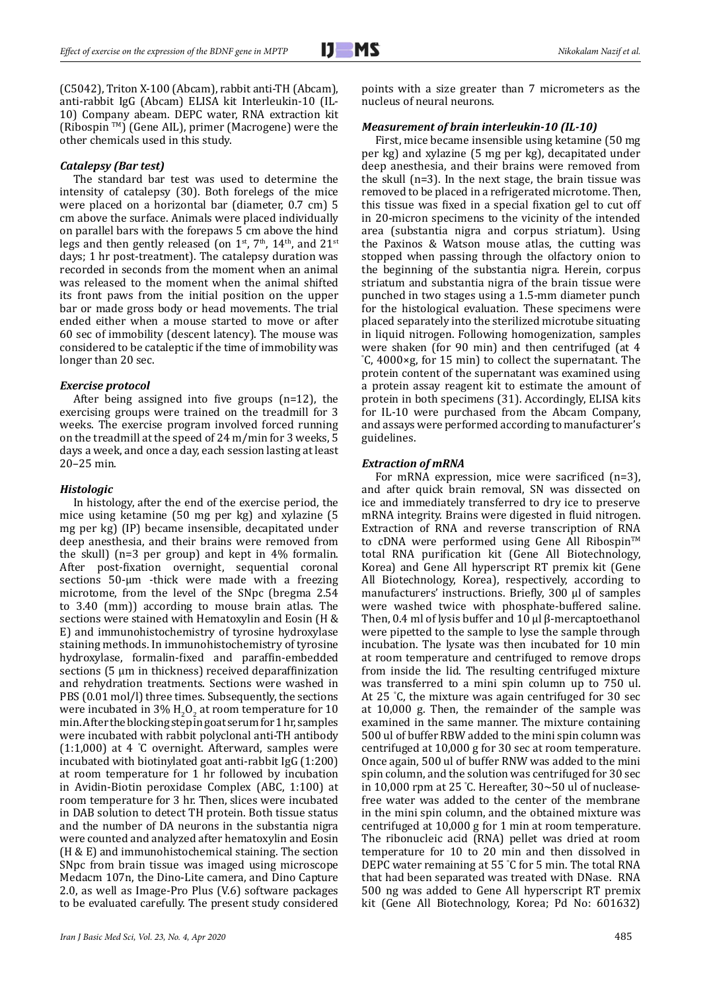(C5042), Triton X-100 (Abcam), rabbit anti-TH (Abcam), anti-rabbit IgG (Abcam) ELISA kit Interleukin-10 (IL-10) Company abeam. DEPC water, RNA extraction kit (Ribospin TM) (Gene AIL), primer (Macrogene) were the other chemicals used in this study.

#### *Catalepsy (Bar test)*

The standard bar test was used to determine the intensity of catalepsy (30). Both forelegs of the mice were placed on a horizontal bar (diameter, 0.7 cm) 5 cm above the surface. Animals were placed individually on parallel bars with the forepaws 5 cm above the hind legs and then gently released (on  $1^{st}$ ,  $7^{th}$ ,  $14^{th}$ , and  $21^{st}$ days; 1 hr post-treatment). The catalepsy duration was recorded in seconds from the moment when an animal was released to the moment when the animal shifted its front paws from the initial position on the upper bar or made gross body or head movements. The trial ended either when a mouse started to move or after 60 sec of immobility (descent latency). The mouse was considered to be cataleptic if the time of immobility was longer than 20 sec.

#### *Exercise protocol*

After being assigned into five groups (n=12), the exercising groups were trained on the treadmill for 3 weeks. The exercise program involved forced running on the treadmill at the speed of 24 m/min for 3 weeks, 5 days a week, and once a day, each session lasting at least 20–25 min.

#### *Histologic*

In histology, after the end of the exercise period, the mice using ketamine (50 mg per kg) and xylazine (5 mg per kg) (IP) became insensible, decapitated under deep anesthesia, and their brains were removed from the skull) (n=3 per group) and kept in 4% formalin. After post-fixation overnight, sequential coronal sections 50-μm -thick were made with a freezing microtome, from the level of the SNpc (bregma 2.54 to 3.40 (mm)) according to mouse brain atlas. The sections were stained with Hematoxylin and Eosin (H & E) and immunohistochemistry of tyrosine hydroxylase staining methods. In immunohistochemistry of tyrosine hydroxylase, formalin-fixed and paraffin-embedded sections (5 μm in thickness) received deparaffinization and rehydration treatments. Sections were washed in PBS (0.01 mol/l) three times. Subsequently, the sections were incubated in 3%  $H_2O_2$  at room temperature for 10 min. After the blocking step in goat serum for 1 hr, samples were incubated with rabbit polyclonal anti-TH antibody (1:1,000) at 4 ° C overnight. Afterward, samples were incubated with biotinylated goat anti-rabbit IgG (1:200) at room temperature for 1 hr followed by incubation in Avidin-Biotin peroxidase Complex (ABC, 1:100) at room temperature for 3 hr. Then, slices were incubated in DAB solution to detect TH protein. Both tissue status and the number of DA neurons in the substantia nigra were counted and analyzed after hematoxylin and Eosin (H & E) and immunohistochemical staining. The section SNpc from brain tissue was imaged using microscope Medacm 107n, the Dino-Lite camera, and Dino Capture 2.0, as well as Image-Pro Plus (V.6) software packages to be evaluated carefully. The present study considered

points with a size greater than 7 micrometers as the nucleus of neural neurons.

#### *Measurement of brain interleukin-10 (IL-10)*

First, mice became insensible using ketamine (50 mg per kg) and xylazine (5 mg per kg), decapitated under deep anesthesia, and their brains were removed from the skull (n=3). In the next stage, the brain tissue was removed to be placed in a refrigerated microtome. Then, this tissue was fixed in a special fixation gel to cut off in 20-micron specimens to the vicinity of the intended area (substantia nigra and corpus striatum). Using the Paxinos & Watson mouse atlas, the cutting was stopped when passing through the olfactory onion to the beginning of the substantia nigra. Herein, corpus striatum and substantia nigra of the brain tissue were punched in two stages using a 1.5-mm diameter punch for the histological evaluation. These specimens were placed separately into the sterilized microtube situating in liquid nitrogen. Following homogenization, samples were shaken (for 90 min) and then centrifuged (at 4 ° C, 4000×g, for 15 min) to collect the supernatant. The protein content of the supernatant was examined using a protein assay reagent kit to estimate the amount of protein in both specimens (31). Accordingly, ELISA kits for IL-10 were purchased from the Abcam Company, and assays were performed according to manufacturer's guidelines.

#### *Extraction of mRNA*

For mRNA expression, mice were sacrificed (n=3), and after quick brain removal, SN was dissected on ice and immediately transferred to dry ice to preserve mRNA integrity. Brains were digested in fluid nitrogen. Extraction of RNA and reverse transcription of RNA to cDNA were performed using Gene All Ribospin™ total RNA purification kit (Gene All Biotechnology, Korea) and Gene All hyperscript RT premix kit (Gene All Biotechnology, Korea), respectively, according to manufacturers' instructions. Briefly, 300 μl of samples were washed twice with phosphate-buffered saline. Then, 0.4 ml of lysis buffer and 10 μl β-mercaptoethanol were pipetted to the sample to lyse the sample through incubation. The lysate was then incubated for 10 min at room temperature and centrifuged to remove drops from inside the lid. The resulting centrifuged mixture was transferred to a mini spin column up to 750 ul. At 25 ° C, the mixture was again centrifuged for 30 sec at 10,000 g. Then, the remainder of the sample was examined in the same manner. The mixture containing 500 ul of buffer RBW added to the mini spin column was centrifuged at 10,000 g for 30 sec at room temperature. Once again, 500 ul of buffer RNW was added to the mini spin column, and the solution was centrifuged for 30 sec in 10,000 rpm at 25 ° C. Hereafter, 30~50 ul of nucleasefree water was added to the center of the membrane in the mini spin column, and the obtained mixture was centrifuged at 10,000 g for 1 min at room temperature. The ribonucleic acid (RNA) pellet was dried at room temperature for 10 to 20 min and then dissolved in DEPC water remaining at 55 ° C for 5 min. The total RNA that had been separated was treated with DNase. RNA 500 ng was added to Gene All hyperscript RT premix kit (Gene All Biotechnology, Korea; Pd No: 601632)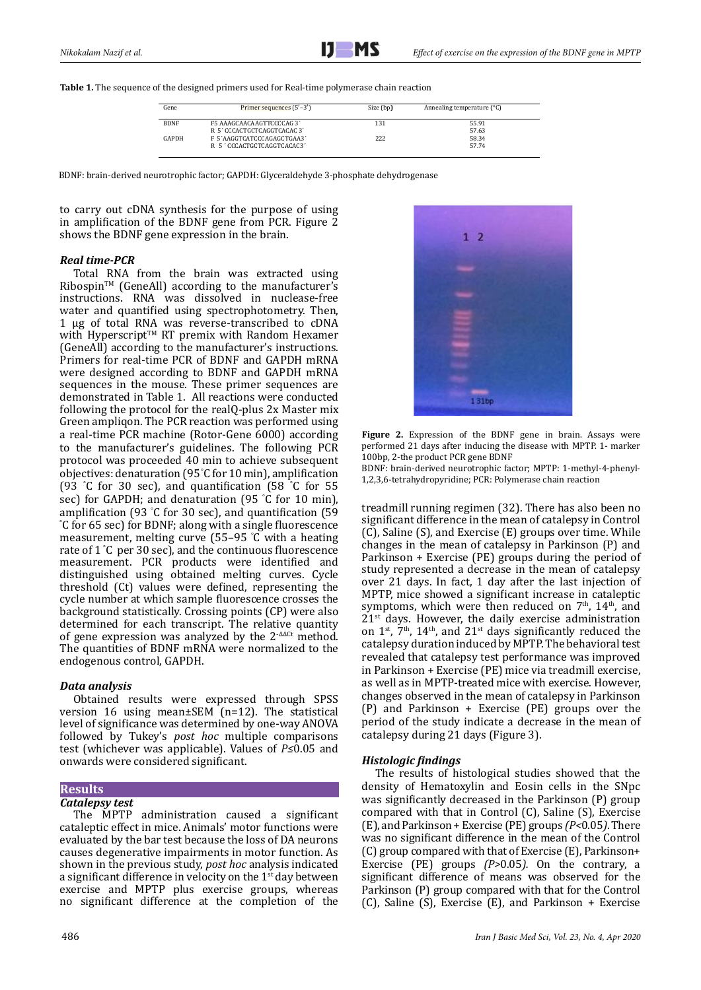**Table 1.** The sequence of the designed primers used for Real-time polymerase chain reaction

| Gene        | Primer sequences $(5'-3')$ | Size (bp) | Annealing temperature (°C) |
|-------------|----------------------------|-----------|----------------------------|
| <b>BDNF</b> | F5 AAAGCAACAAGTTCCCCAG 3'  | 131       | 55.91                      |
|             | R 5' CCCACTGCTCAGGTCACAC3' |           | 57.63                      |
| GAPDH       | F 5'AAGGTCATCCCAGAGCTGAA3' | 222       | 58.34                      |
|             | R 5'CCCACTGCTCAGGTCACAC3'  |           | 57.74                      |

BDNF: brain-derived neurotrophic factor; GAPDH: Glyceraldehyde 3-phosphate dehydrogenase

to carry out cDNA synthesis for the purpose of using in amplification of the BDNF gene from PCR. Figure 2 shows the BDNF gene expression in the brain.

#### *Real time-PCR*

Total RNA from the brain was extracted using Ribospin™ (GeneAll) according to the manufacturer's instructions. RNA was dissolved in nuclease-free water and quantified using spectrophotometry. Then, 1 µg of total RNA was reverse-transcribed to cDNA with Hyperscript™ RT premix with Random Hexamer (GeneAll) according to the manufacturer's instructions. Primers for real-time PCR of BDNF and GAPDH mRNA were designed according to BDNF and GAPDH mRNA sequences in the mouse. These primer sequences are demonstrated in Table 1. All reactions were conducted following the protocol for the [realQ-plus 2x Master mix](https://www.google.com/search?q=realQ-plus+2x+Master+mix+Green+ampliqon+without+ROX&spell=1&sa=X&ved=0ahUKEwjr29vT-MTWAhVDuRQKHaAOCycQBQgiKAA&biw=1024&bih=659)  [Green ampliqon](https://www.google.com/search?q=realQ-plus+2x+Master+mix+Green+ampliqon+without+ROX&spell=1&sa=X&ved=0ahUKEwjr29vT-MTWAhVDuRQKHaAOCycQBQgiKAA&biw=1024&bih=659). The PCR reaction was performed using a real-time PCR machine (Rotor-Gene 6000) according to the manufacturer's guidelines. The following PCR protocol was proceeded 40 min to achieve subsequent objectives: denaturation (95 °C for 10 min), amplification (93 ° C for 30 sec), and quantification (58 ° C for 55 sec) for GAPDH; and denaturation (95 ° C for 10 min), amplification (93 °C for 30 sec), and quantification (59 amplification (93 °C for 30 sec), and quantification (59<br>°C for 65 sec) for BDNF; along with a single fluorescence measurement, melting curve (55–95 ° C with a heating rate of 1 ° C per 30 sec), and the continuous fluorescence measurement. PCR products were identified and distinguished using obtained melting curves. Cycle threshold (Ct) values were defined, representing the cycle number at which sample fluorescence crosses the background statistically. Crossing points (CP) were also determined for each transcript. The relative quantity of gene expression was analyzed by the 2-∆∆Ct method. The quantities of BDNF mRNA were normalized to the endogenous control, GAPDH.

## *Data analysis*

Obtained results were expressed through SPSS version 16 using mean±SEM (n=12). The statistical level of significance was determined by one-way ANOVA followed by Tukey's *post hoc* multiple comparisons test (whichever was applicable). Values of *P≤*0.05 and onwards were considered significant.

## **Results**

## *Catalepsy test*

The MPTP administration caused a significant cataleptic effect in mice. Animals' motor functions were evaluated by the bar test because the loss of DA neurons causes degenerative impairments in motor function. As shown in the previous study, *post hoc* analysis indicated a significant difference in velocity on the  $1<sup>st</sup>$  day between exercise and MPTP plus exercise groups, whereas no significant difference at the completion of the



**Figure 2.** Expression of the BDNF gene in brain. Assays were performed 21 days after inducing the disease with MPTP. 1- marker 100bp, 2-the product PCR gene BDNF

BDNF: brain-derived neurotrophic factor; MPTP: 1-methyl-4-phenyl-1,2,3,6-tetrahydropyridine; PCR: Polymerase chain reaction

treadmill running regimen (32). There has also been no significant difference in the mean of catalepsy in Control (C), Saline (S), and Exercise (E) groups over time. While changes in the mean of catalepsy in Parkinson (P) and Parkinson + Exercise (PE) groups during the period of study represented a decrease in the mean of catalepsy over 21 days. In fact, 1 day after the last injection of MPTP, mice showed a significant increase in cataleptic symptoms, which were then reduced on  $7<sup>th</sup>$ ,  $14<sup>th</sup>$ , and  $21<sup>st</sup>$  days. However, the daily exercise administration on  $1^{st}$ ,  $7^{th}$ ,  $14^{th}$ , and  $21^{st}$  days significantly reduced the catalepsy duration induced by MPTP. The behavioral test revealed that catalepsy test performance was improved in Parkinson + Exercise (PE) mice via treadmill exercise, as well as in MPTP-treated mice with exercise. However, changes observed in the mean of catalepsy in Parkinson (P) and Parkinson + Exercise (PE) groups over the period of the study indicate a decrease in the mean of catalepsy during 21 days (Figure 3).

## *Histologic findings*

The results of histological studies showed that the density of Hematoxylin and Eosin cells in the SNpc was significantly decreased in the Parkinson (P) group compared with that in Control (C), Saline (S), Exercise (E), and Parkinson + Exercise (PE) groups *(P<*0.05*)*. There was no significant difference in the mean of the Control (C) group compared with that of Exercise (E), Parkinson+ Exercise (PE) groups *(P>*0.05*).* On the contrary, a significant difference of means was observed for the Parkinson (P) group compared with that for the Control (C), Saline (S), Exercise (E), and Parkinson + Exercise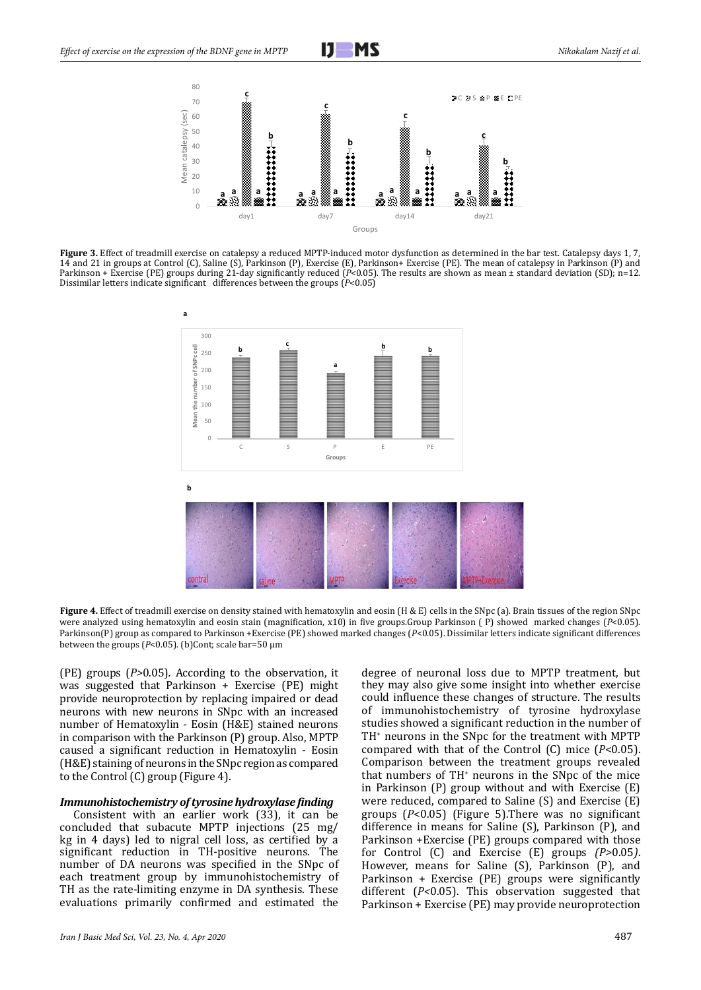

**Figure 3.** Effect of treadmill exercise on catalepsy a reduced MPTP-induced motor dysfunction as determined in the bar test. Catalepsy days 1, 7, 14 and 21 in groups at Control (C), Saline (S), Parkinson (P), Exercise (E), Parkinson+ Exercise (PE). The mean of catalepsy in Parkinson (P) and Parkinson + Exercise (PE) groups during 21-day significantly reduced ( $\vec{P}$ <0.05). The results are shown as mean ± standard deviation (SD); n=12. Dissimilar letters indicate significant differences between the groups (*P*<0.05)



**Figure 4.** Effect of treadmill exercise on density stained with hematoxylin and eosin (H & E) cells in the SNpc (a). Brain tissues of the region SNpc were analyzed using hematoxylin and eosin stain (magnification, x10) in five groups.Group Parkinson ( P) showed marked changes (*P*<0.05). Parkinson(P) group as compared to Parkinson +Exercise (PE) showed marked changes (*P*<0.05). Dissimilar letters indicate significant differences between the groups (*P*<0.05). (b)Cont; scale bar=50 µm

(PE) groups (*P>*0.05)*.* According to the observation, it was suggested that Parkinson + Exercise (PE) might provide neuroprotection by replacing impaired or dead neurons with new neurons in SNpc with an increased number of Hematoxylin - Eosin (H&E) stained neurons in comparison with the Parkinson (P) group. Also, MPTP caused a significant reduction in Hematoxylin - Eosin (H&E) staining of neurons in the SNpc region as compared to the Control (C) group (Figure 4).

#### *Immunohistochemistry of tyrosine hydroxylase finding*

Consistent with an earlier work (33), it can be concluded that subacute MPTP injections (25 mg/ kg in 4 days) led to nigral cell loss, as certified by a significant reduction in TH-positive neurons. The number of DA neurons was specified in the SNpc of each treatment group by immunohistochemistry of TH as the rate-limiting enzyme in DA synthesis. These evaluations primarily confirmed and estimated the

degree of neuronal loss due to MPTP treatment, but they may also give some insight into whether exercise could influence these changes of structure. The results of immunohistochemistry of tyrosine hydroxylase studies showed a significant reduction in the number of TH+ neurons in the SNpc for the treatment with MPTP compared with that of the Control (C) mice (*P*<0.05). Comparison between the treatment groups revealed that numbers of TH+ neurons in the SNpc of the mice in Parkinson (P) group without and with Exercise (E) were reduced, compared to Saline (S) and Exercise (E) groups (*P*<0.05) (Figure 5).There was no significant difference in means for Saline (S), Parkinson (P), and Parkinson +Exercise (PE) groups compared with those for Control (C) and Exercise (E) groups *(P>*0.05*)*. However, means for Saline (S), Parkinson (P), and Parkinson + Exercise (PE) groups were significantly different (*P<*0.05). This observation suggested that Parkinson + Exercise (PE) may provide neuroprotection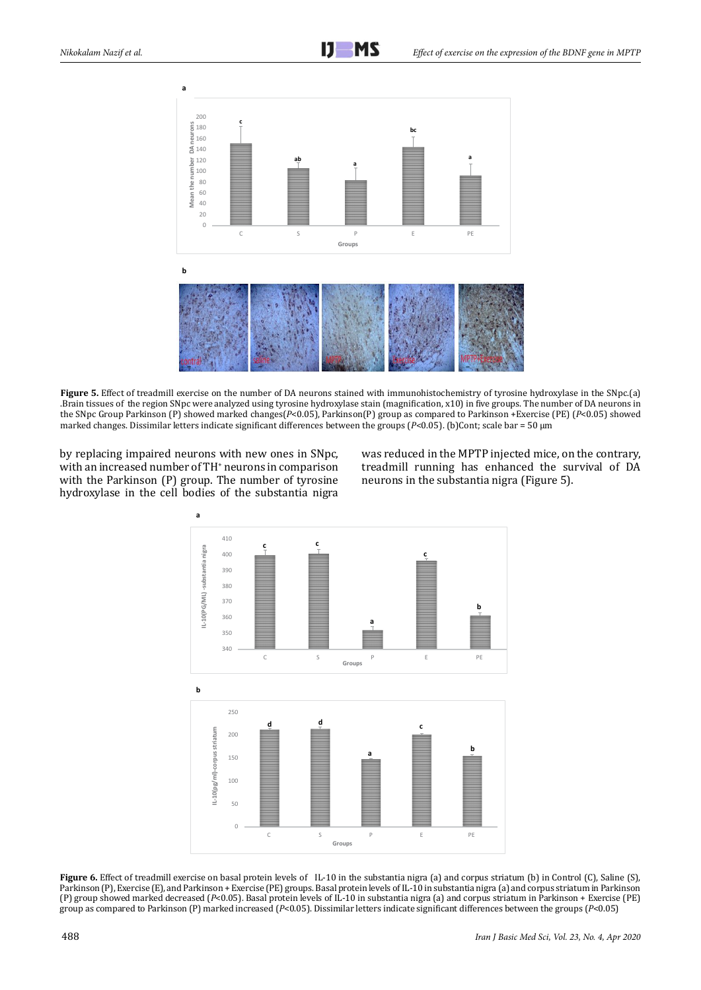

**Figure 5.** Effect of treadmill exercise on the number of DA neurons stained with immunohistochemistry of tyrosine hydroxylase in the SNpc.(a) .Brain tissues of the region SNpc were analyzed using tyrosine hydroxylase stain (magnification, x10) in five groups. The number of DA neurons in the SNpc Group Parkinson (P) showed marked changes(*P*<0.05), Parkinson(P) group as compared to Parkinson +Exercise (PE) (*P*<0.05) showed marked changes. Dissimilar letters indicate significant differences between the groups (*P*<0.05). (b)Cont; scale bar = 50 µm

by replacing impaired neurons with new ones in SNpc, with an increased number of TH<sup>+</sup> neurons in comparison with the Parkinson (P) group. The number of tyrosine hydroxylase in the cell bodies of the substantia nigra

was reduced in the MPTP injected mice, on the contrary, treadmill running has enhanced the survival of DA neurons in the substantia nigra (Figure 5).



**Figure 6.** Effect of treadmill exercise on basal protein levels of IL-10 in the substantia nigra (a) and corpus striatum (b) in Control (C), Saline (S), Parkinson (P), Exercise (E), and Parkinson + Exercise (PE) groups. Basal protein levels of IL-10 in substantia nigra (a) and corpus striatum in Parkinson (P) group showed marked decreased (*P*<0.05). Basal protein levels of IL-10 in substantia nigra (a) and corpus striatum in Parkinson + Exercise (PE) group as compared to Parkinson (P) marked increased (*P*<0.05). Dissimilar letters indicate significant differences between the groups (*P*<0.05)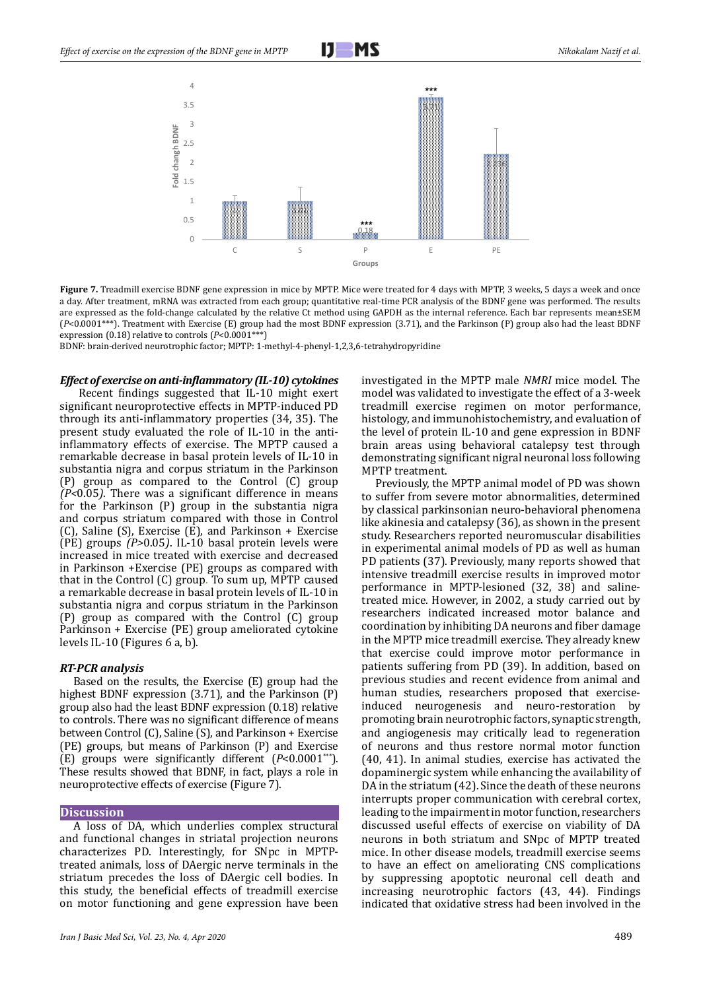



Figure 7. Treadmill exercise BDNF gene expression in mice by MPTP. Mice were treated for 4 days with MPTP, 3 weeks, 5 days a week and once a day. After treatment, mRNA was extracted from each group; quantitative real-time PCR analysis of the BDNF gene was performed. The results are expressed as the fold-change calculated by the relative Ct method using GAPDH as the internal reference. Each bar represents mean±SEM (*P*<0.0001\*\*\*). Treatment with Exercise (E) group had the most BDNF expression (3.71), and the Parkinson (P) group also had the least BDNF expression (0.18) relative to controls (*P*<0.0001\*\*\*)

BDNF: brain-derived neurotrophic factor; MPTP: 1-methyl-4-phenyl-1,2,3,6-tetrahydropyridine

#### *Effect of exercise on anti-inflammatory (IL-10) cytokines*

 Recent findings suggested that IL-10 might exert significant neuroprotective effects in MPTP-induced PD through its anti-inflammatory properties (34, 35). The present study evaluated the role of IL-10 in the antiinflammatory effects of exercise. The MPTP caused a remarkable decrease in basal protein levels of IL-10 in substantia nigra and corpus striatum in the Parkinson (P) group as compared to the Control (C) group *(P<*0.05*)*. There was a significant difference in means for the Parkinson (P) group in the substantia nigra and corpus striatum compared with those in Control (C), Saline (S), Exercise (E), and Parkinson + Exercise (PE) groups *(P>*0.05*)*. IL-10 basal protein levels were increased in mice treated with exercise and decreased in Parkinson +Exercise (PE) groups as compared with that in the Control (C) group. To sum up, MPTP caused a remarkable decrease in basal protein levels of IL-10 in substantia nigra and corpus striatum in the Parkinson (P) group as compared with the Control (C) group Parkinson + Exercise (PE) group ameliorated cytokine levels IL-10 (Figures 6 a, b).

#### *RT-PCR analysis*

Based on the results, the Exercise (E) group had the highest BDNF expression (3.71), and the Parkinson (P) group also had the least BDNF expression (0.18) relative to controls. There was no significant difference of means between Control (C), Saline (S), and Parkinson + Exercise (PE) groups, but means of Parkinson (P) and Exercise (E) groups were significantly different (*P*<0.0001\*\*\*). These results showed that BDNF, in fact, plays a role in neuroprotective effects of exercise (Figure 7).

#### **Discussion**

A loss of DA, which underlies complex structural and functional changes in striatal projection neurons characterizes PD. Interestingly, for SNpc in MPTPtreated animals, loss of DAergic nerve terminals in the striatum precedes the loss of DAergic cell bodies. In this study, the beneficial effects of treadmill exercise on motor functioning and gene expression have been investigated in the MPTP male *NMRI* mice model. The model was validated to investigate the effect of a 3-week treadmill exercise regimen on motor performance, histology, and immunohistochemistry, and evaluation of the level of protein IL-10 and gene expression in BDNF brain areas using behavioral catalepsy test through demonstrating significant nigral neuronal loss following MPTP treatment.

Previously, the MPTP animal model of PD was shown to suffer from severe motor abnormalities, determined by classical parkinsonian neuro-behavioral phenomena like akinesia and catalepsy (36), as shown in the present study. Researchers reported neuromuscular disabilities in experimental animal models of PD as well as human PD patients (37). Previously, many reports showed that intensive treadmill exercise results in improved motor performance in MPTP-lesioned (32, 38) and salinetreated mice. However, in 2002, a study carried out by researchers indicated increased motor balance and coordination by inhibiting DA neurons and fiber damage in the MPTP mice treadmill exercise. They already knew that exercise could improve motor performance in patients suffering from PD (39). In addition, based on previous studies and recent evidence from animal and human studies, researchers proposed that exerciseinduced neurogenesis and neuro-restoration by promoting brain neurotrophic factors, synaptic strength, and angiogenesis may critically lead to regeneration of neurons and thus restore normal motor function (40, 41). In animal studies, exercise has activated the dopaminergic system while enhancing the availability of DA in the striatum (42). Since the death of these neurons interrupts proper communication with cerebral cortex, leading to the impairment in motor function, researchers discussed useful effects of exercise on viability of DA neurons in both striatum and SNpc of MPTP treated mice. In other disease models, treadmill exercise seems to have an effect on ameliorating CNS complications by suppressing apoptotic neuronal cell death and increasing neurotrophic factors (43, 44). Findings indicated that oxidative stress had been involved in the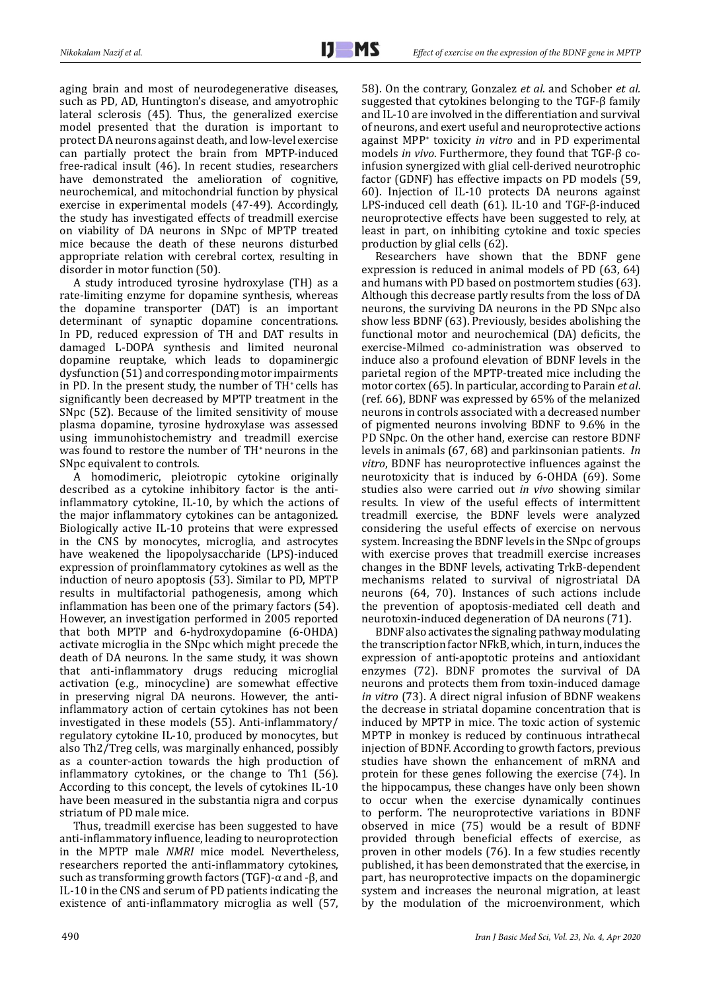aging brain and most of neurodegenerative diseases, such as PD, AD, Huntington's disease, and amyotrophic lateral sclerosis (45). Thus, the generalized exercise model presented that the duration is important to protect DA neurons against death, and low-level exercise can partially protect the brain from MPTP-induced free-radical insult (46). In recent studies, researchers have demonstrated the amelioration of cognitive, neurochemical, and mitochondrial function by physical exercise in experimental models (47-49). Accordingly, the study has investigated effects of treadmill exercise on viability of DA neurons in SNpc of MPTP treated mice because the death of these neurons disturbed appropriate relation with cerebral cortex, resulting in disorder in motor function (50).

A study introduced tyrosine hydroxylase (TH) as a rate-limiting enzyme for dopamine synthesis, whereas the dopamine transporter (DAT) is an important determinant of synaptic dopamine concentrations. In PD, reduced expression of TH and DAT results in damaged L-DOPA synthesis and limited neuronal dopamine reuptake, which leads to dopaminergic dysfunction (51) and corresponding motor impairments in PD. In the present study, the number of TH<sup>+</sup> cells has significantly been decreased by MPTP treatment in the SNpc (52). Because of the limited sensitivity of mouse plasma dopamine, tyrosine hydroxylase was assessed using immunohistochemistry and treadmill exercise was found to restore the number of TH<sup>+</sup> neurons in the SNpc equivalent to controls.

A homodimeric, pleiotropic cytokine originally described as a cytokine inhibitory factor is the antiinflammatory cytokine, IL-10, by which the actions of the major inflammatory cytokines can be antagonized. Biologically active IL-10 proteins that were expressed in the CNS by monocytes, microglia, and astrocytes have weakened the lipopolysaccharide (LPS)-induced expression of proinflammatory cytokines as well as the induction of neuro apoptosis (53). Similar to PD, MPTP results in multifactorial pathogenesis, among which inflammation has been one of the primary factors (54). However, an investigation performed in 2005 reported that both MPTP and 6-hydroxydopamine (6-OHDA) activate microglia in the SNpc which might precede the death of DA neurons. In the same study, it was shown that anti-inflammatory drugs reducing microglial activation (e.g., minocycline) are somewhat effective in preserving nigral DA neurons. However, the antiinflammatory action of certain cytokines has not been investigated in these models (55). Anti-inflammatory/ regulatory cytokine IL-10, produced by monocytes, but also Th2/Treg cells, was marginally enhanced, possibly as a counter-action towards the high production of inflammatory cytokines, or the change to Th1 (56). According to this concept, the levels of cytokines IL-10 have been measured in the substantia nigra and corpus striatum of PD male mice.

Thus, treadmill exercise has been suggested to have anti-inflammatory influence, leading to neuroprotection in the MPTP male *NMRI* mice model. Nevertheless, researchers reported the anti-inflammatory cytokines, such as transforming growth factors (TGF)-α and -β, and IL-10 in the CNS and serum of PD patients indicating the existence of anti-inflammatory microglia as well (57,

58). On the contrary, Gonzalez *et al*. and Schober *et al.* suggested that cytokines belonging to the TGF-β family and IL-10 are involved in the differentiation and survival of neurons, and exert useful and neuroprotective actions against MPP+ toxicity *in vitro* and in PD experimental models *in vivo*. Furthermore, they found that TGF-β coinfusion synergized with glial cell-derived neurotrophic factor (GDNF) has effective impacts on PD models (59, 60). Injection of IL-10 protects DA neurons against LPS-induced cell death (61). IL-10 and TGF-β-induced neuroprotective effects have been suggested to rely, at least in part, on inhibiting cytokine and toxic species production by glial cells (62).

Researchers have shown that the BDNF gene expression is reduced in animal models of PD (63, 64) and humans with PD based on postmortem studies (63). Although this decrease partly results from the loss of DA neurons, the surviving DA neurons in the PD SNpc also show less BDNF (63). Previously, besides abolishing the functional motor and neurochemical (DA) deficits, the exercise-Milmed co-administration was observed to induce also a profound elevation of BDNF levels in the parietal region of the MPTP-treated mice including the motor cortex (65). In particular, according to Parain *et al*. (ref. 66), BDNF was expressed by 65% of the melanized neurons in controls associated with a decreased number of pigmented neurons involving BDNF to 9.6% in the PD SNpc. On the other hand, exercise can restore BDNF levels in animals (67, 68) and parkinsonian patients. *In vitro*, BDNF has neuroprotective influences against the neurotoxicity that is induced by 6-OHDA (69). Some studies also were carried out *in vivo* showing similar results. In view of the useful effects of intermittent treadmill exercise, the BDNF levels were analyzed considering the useful effects of exercise on nervous system. Increasing the BDNF levels in the SNpc of groups with exercise proves that treadmill exercise increases changes in the BDNF levels, activating TrkB-dependent mechanisms related to survival of nigrostriatal DA neurons (64, 70). Instances of such actions include the prevention of apoptosis-mediated cell death and neurotoxin-induced degeneration of DA neurons (71).

BDNF also activates the signaling pathway modulating the transcription factor NFkB, which, in turn, induces the expression of anti-apoptotic proteins and antioxidant enzymes (72). BDNF promotes the survival of DA neurons and protects them from toxin-induced damage *in vitro* (73). A direct nigral infusion of BDNF weakens the decrease in striatal dopamine concentration that is induced by MPTP in mice. The toxic action of systemic MPTP in monkey is reduced by continuous intrathecal injection of BDNF. According to growth factors, previous studies have shown the enhancement of mRNA and protein for these genes following the exercise (74). In the hippocampus, these changes have only been shown to occur when the exercise dynamically continues to perform. The neuroprotective variations in BDNF observed in mice (75) would be a result of BDNF provided through beneficial effects of exercise, as proven in other models (76). In a few studies recently published, it has been demonstrated that the exercise, in part, has neuroprotective impacts on the dopaminergic system and increases the neuronal migration, at least by the modulation of the microenvironment, which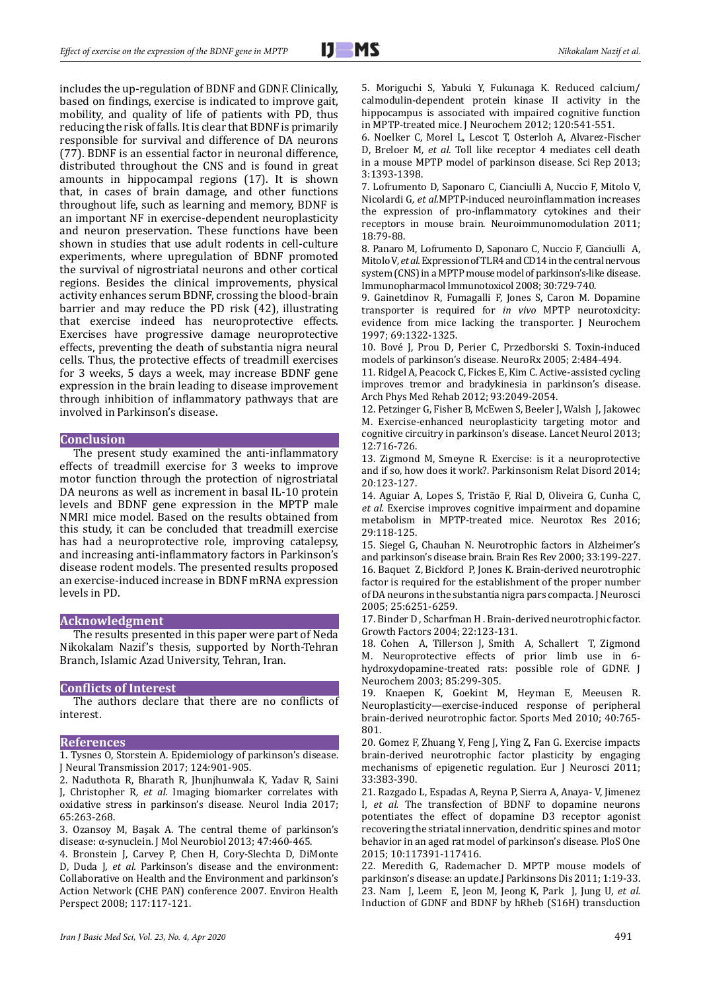includes the up-regulation of BDNF and GDNF. Clinically, based on findings, exercise is indicated to improve gait, mobility, and quality of life of patients with PD, thus reducing the risk of falls. It is clear that BDNF is primarily responsible for survival and difference of DA neurons (77). BDNF is an essential factor in neuronal difference, distributed throughout the CNS and is found in great amounts in hippocampal regions (17). It is shown that, in cases of brain damage, and other functions throughout life, such as learning and memory, BDNF is an important NF in exercise-dependent neuroplasticity and neuron preservation. These functions have been shown in studies that use adult rodents in cell-culture experiments, where upregulation of BDNF promoted the survival of nigrostriatal neurons and other cortical regions. Besides the clinical improvements, physical activity enhances serum BDNF, crossing the blood-brain barrier and may reduce the PD risk (42), illustrating that exercise indeed has neuroprotective effects. Exercises have progressive damage neuroprotective effects, preventing the death of substantia nigra neural cells. Thus, the protective effects of treadmill exercises for 3 weeks, 5 days a week, may increase BDNF gene expression in the brain leading to disease improvement through inhibition of inflammatory pathways that are involved in Parkinson's disease.

#### **Conclusion**

The present study examined the anti-inflammatory effects of treadmill exercise for 3 weeks to improve motor function through the protection of nigrostriatal DA neurons as well as increment in basal IL-10 protein levels and BDNF gene expression in the MPTP male NMRI mice model. Based on the results obtained from this study, it can be concluded that treadmill exercise has had a neuroprotective role, improving catalepsy, and increasing anti-inflammatory factors in Parkinson's disease rodent models. The presented results proposed an exercise-induced increase in BDNF mRNA expression levels in PD.

#### **Acknowledgment**

The results presented in this paper were part of Neda Nikokalam Nazif's thesis, supported by North-Tehran Branch, Islamic Azad University, Tehran, Iran.

#### **Conflicts of Interest**

The authors declare that there are no conflicts of interest.

#### **References**

1. Tysnes O, Storstein A. Epidemiology of parkinson's disease. J Neural Transmission 2017; 124:901-905.

2. Naduthota R, Bharath R, Jhunjhunwala K, Yadav R, Saini J, Christopher R*, et al.* Imaging biomarker correlates with oxidative stress in parkinson's disease. Neurol India 2017; 65:263-268.

3. Ozansoy M, Başak A. The central theme of parkinson's disease: α-synuclein. J Mol Neurobiol 2013; 47:460-465.

4. Bronstein J, Carvey P, Chen H, Cory-Slechta D, DiMonte D, Duda J*, et al.* Parkinson's disease and the environment: Collaborative on Health and the Environment and parkinson's Action Network (CHE PAN) conference 2007. Environ Health Perspect 2008; 117:117-121.

5. Moriguchi S, Yabuki Y, Fukunaga K. Reduced calcium/ calmodulin-dependent protein kinase II activity in the hippocampus is associated with impaired cognitive function in MPTP-treated mice. J Neurochem 2012; 120:541-551.

6. Noelker C, Morel L, Lescot T, Osterloh A, Alvarez-Fischer D, Breloer M*, et al.* Toll like receptor 4 mediates cell death in a mouse MPTP model of parkinson disease. Sci Rep 2013; 3:1393-1398.

7. Lofrumento D, Saponaro C, Cianciulli A, Nuccio F, Mitolo V, Nicolardi G*, et al.*MPTP-induced neuroinflammation increases the expression of pro-inflammatory cytokines and their receptors in mouse brain. Neuroimmunomodulation 2011; 18:79-88.

8. Panaro M, Lofrumento D, Saponaro C, Nuccio F, Cianciulli A, Mitolo V*, et al.* Expression of TLR4 and CD14 in the central nervous system (CNS) in a MPTP mouse model of parkinson's-like disease. Immunopharmacol Immunotoxicol 2008; 30:729-740.

9. Gainetdinov R, Fumagalli F, Jones S, Caron M. Dopamine transporter is required for *in vivo* MPTP neurotoxicity: evidence from mice lacking the transporter. J Neurochem 1997; 69:1322-1325.

10. Bové J, Prou D, Perier C, Przedborski S. Toxin-induced models of parkinson's disease. NeuroRx 2005; 2:484-494.

11. Ridgel A, Peacock C, Fickes E, Kim C. Active-assisted cycling improves tremor and bradykinesia in parkinson's disease. Arch Phys Med Rehab 2012; 93:2049-2054.

12. Petzinger G, Fisher B, McEwen S, Beeler J, Walsh J, Jakowec M. Exercise-enhanced neuroplasticity targeting motor and cognitive circuitry in parkinson's disease. Lancet Neurol 2013; 12:716-726.

13. Zigmond M, Smeyne R. Exercise: is it a neuroprotective and if so, how does it work?. Parkinsonism Relat Disord 2014; 20:123-127.

14. Aguiar A, Lopes S, Tristão F, Rial D, Oliveira G, Cunha C*, et al.* Exercise improves cognitive impairment and dopamine metabolism in MPTP-treated mice. Neurotox Res 2016; 29:118-125.

15. Siegel G, Chauhan N. Neurotrophic factors in Alzheimer's and parkinson's disease brain. Brain Res Rev 2000; 33:199-227. 16. Baquet Z, Bickford P, Jones K. Brain-derived neurotrophic factor is required for the establishment of the proper number of DA neurons in the substantia nigra pars compacta. J Neurosci 2005; 25:6251-6259.

17. Binder D , Scharfman H . Brain-derived neurotrophic factor. Growth Factors 2004; 22:123-131.

18. Cohen A, Tillerson J, Smith A, Schallert T, Zigmond M. Neuroprotective effects of prior limb use in 6 hydroxydopamine-treated rats: possible role of GDNF. J Neurochem 2003; 85:299-305.

19. Knaepen K, Goekint M, Heyman E, Meeusen R. Neuroplasticity—exercise-induced response of peripheral brain-derived neurotrophic factor. Sports Med 2010; 40:765- 801.

20. Gomez F, Zhuang Y, Feng J, Ying Z, Fan G. Exercise impacts brain-derived neurotrophic factor plasticity by engaging mechanisms of epigenetic regulation. Eur J Neurosci 2011; 33:383-390.

21. Razgado L, Espadas A, Reyna P, Sierra A, Anaya- V, Jimenez I*, et al.* The transfection of BDNF to dopamine neurons potentiates the effect of dopamine D3 receptor agonist recovering the striatal innervation, dendritic spines and motor behavior in an aged rat model of parkinson's disease. PloS One 2015; 10:117391-117416.

22. Meredith G, Rademacher D. MPTP mouse models of parkinson's disease: an update.J Parkinsons Dis 2011; 1:19-33. 23. Nam J, Leem E, Jeon M, Jeong K, Park J, Jung U*, et al.* Induction of GDNF and BDNF by hRheb (S16H) transduction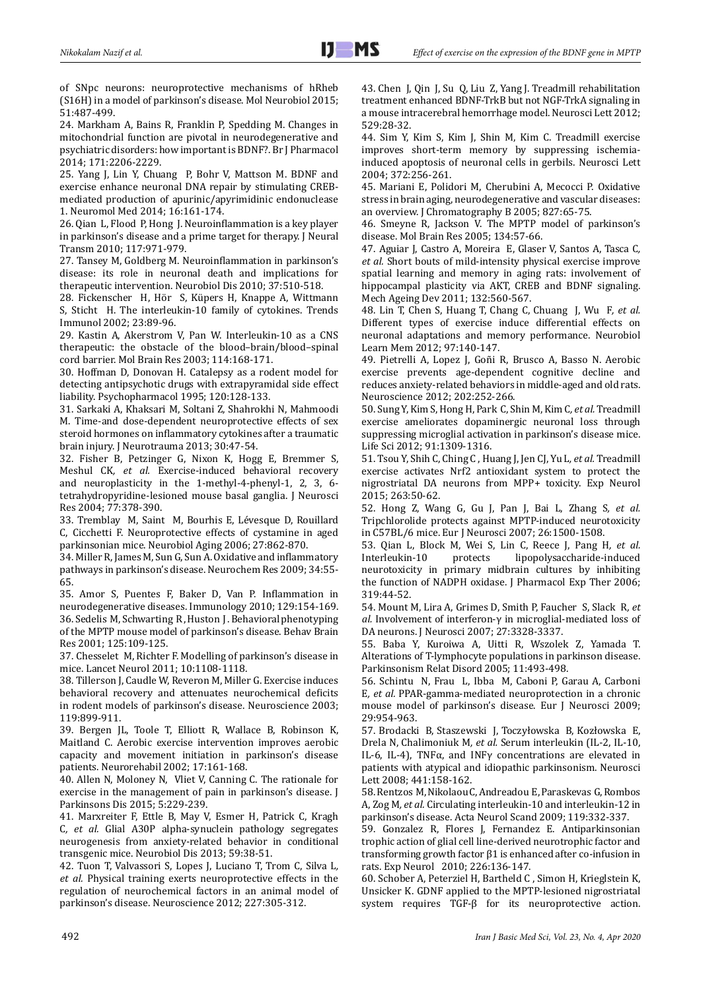of SNpc neurons: neuroprotective mechanisms of hRheb (S16H) in a model of parkinson's disease. Mol Neurobiol 2015; 51:487-499.

24. Markham A, Bains R, Franklin P, Spedding M. Changes in mitochondrial function are pivotal in neurodegenerative and psychiatric disorders: how important is BDNF?. Br J Pharmacol 2014; 171:2206-2229.

25. Yang J, Lin Y, Chuang P, Bohr V, Mattson M. BDNF and exercise enhance neuronal DNA repair by stimulating CREBmediated production of apurinic/apyrimidinic endonuclease 1. Neuromol Med 2014; 16:161-174.

26. Qian L, Flood P, Hong J. Neuroinflammation is a key player in parkinson's disease and a prime target for therapy. J Neural Transm 2010; 117:971-979.

27. Tansey M, Goldberg M. Neuroinflammation in parkinson's disease: its role in neuronal death and implications for therapeutic intervention. Neurobiol Dis 2010; 37:510-518.

28. Fickenscher H, Hör S, Küpers H, Knappe A, Wittmann S, Sticht H. The interleukin-10 family of cytokines. Trends Immunol 2002; 23:89-96.

29. Kastin A, Akerstrom V, Pan W. Interleukin-10 as a CNS therapeutic: the obstacle of the blood–brain/blood–spinal cord barrier. Mol Brain Res 2003; 114:168-171.

30. Hoffman D, Donovan H. Catalepsy as a rodent model for detecting antipsychotic drugs with extrapyramidal side effect liability. Psychopharmacol 1995; 120:128-133.

31. Sarkaki A, Khaksari M, Soltani Z, Shahrokhi N, Mahmoodi M. Time-and dose-dependent neuroprotective effects of sex steroid hormones on inflammatory cytokines after a traumatic brain injury. J Neurotrauma 2013; 30:47-54.

32. Fisher B, Petzinger G, Nixon K, Hogg E, Bremmer S, Meshul CK*, et al.* Exercise-induced behavioral recovery and neuroplasticity in the 1-methyl-4-phenyl-1, 2, 3, 6 tetrahydropyridine-lesioned mouse basal ganglia. J Neurosci Res 2004; 77:378-390.

33. Tremblay M, Saint M, Bourhis E, Lévesque D, Rouillard C, Cicchetti F. Neuroprotective effects of cystamine in aged parkinsonian mice. Neurobiol Aging 2006; 27:862-870.

34. Miller R, James M, Sun G, Sun A. Oxidative and inflammatory pathways in parkinson's disease. Neurochem Res 2009; 34:55- 65.

35. Amor S, Puentes F, Baker D, Van P. Inflammation in neurodegenerative diseases. Immunology 2010; 129:154-169. 36. Sedelis M, Schwarting R , Huston J . Behavioral phenotyping of the MPTP mouse model of parkinson's disease. Behav Brain Res 2001; 125:109-125.

37. Chesselet M, Richter F. Modelling of parkinson's disease in mice. Lancet Neurol 2011; 10:1108-1118.

38. Tillerson J, Caudle W, Reveron M, Miller G. Exercise induces behavioral recovery and attenuates neurochemical deficits in rodent models of parkinson's disease. Neuroscience 2003; 119:899-911.

39. Bergen JL, Toole T, Elliott R, Wallace B, Robinson K, Maitland C. Aerobic exercise intervention improves aerobic capacity and movement initiation in parkinson's disease patients. Neurorehabil 2002; 17:161-168.

40. Allen N, Moloney N, Vliet V, Canning C. The rationale for exercise in the management of pain in parkinson's disease. J Parkinsons Dis 2015; 5:229-239.

41. Marxreiter F, Ettle B, May V, Esmer H, Patrick C, Kragh C*, et al.* Glial A30P alpha-synuclein pathology segregates neurogenesis from anxiety-related behavior in conditional transgenic mice. Neurobiol Dis 2013; 59:38-51.

42. Tuon T, Valvassori S, Lopes J, Luciano T, Trom C, Silva L*, et al.* Physical training exerts neuroprotective effects in the regulation of neurochemical factors in an animal model of parkinson's disease. Neuroscience 2012; 227:305-312.

43. Chen J, Qin J, Su Q, Liu Z, Yang J. Treadmill rehabilitation treatment enhanced BDNF-TrkB but not NGF-TrkA signaling in a mouse intracerebral hemorrhage model. Neurosci Lett 2012; 529:28-32.

44. Sim Y, Kim S, Kim J, Shin M, Kim C. Treadmill exercise improves short-term memory by suppressing ischemiainduced apoptosis of neuronal cells in gerbils. Neurosci Lett 2004; 372:256-261.

45. Mariani E, Polidori M, Cherubini A, Mecocci P. Oxidative stress in brain aging, neurodegenerative and vascular diseases: an overview. J Chromatography B 2005; 827:65-75.

46. Smeyne R, Jackson V. The MPTP model of parkinson's disease. Mol Brain Res 2005; 134:57-66.

47. Aguiar J, Castro A, Moreira E, Glaser V, Santos A, Tasca C*, et al.* Short bouts of mild-intensity physical exercise improve spatial learning and memory in aging rats: involvement of hippocampal plasticity via AKT, CREB and BDNF signaling. Mech Ageing Dev 2011; 132:560-567.

48. Lin T, Chen S, Huang T, Chang C, Chuang J, Wu F*, et al.* Different types of exercise induce differential effects on neuronal adaptations and memory performance. Neurobiol Learn Mem 2012; 97:140-147.

49. Pietrelli A, Lopez J, Goñi R, Brusco A, Basso N. Aerobic exercise prevents age-dependent cognitive decline and reduces anxiety-related behaviors in middle-aged and old rats. Neuroscience 2012; 202:252-266.

50. Sung Y, Kim S, Hong H, Park C, Shin M, Kim C*, et al.* Treadmill exercise ameliorates dopaminergic neuronal loss through suppressing microglial activation in parkinson's disease mice. Life Sci 2012; 91:1309-1316.

51. Tsou Y, Shih C, Ching C , Huang J, Jen CJ, Yu L*, et al.* Treadmill exercise activates Nrf2 antioxidant system to protect the nigrostriatal DA neurons from MPP+ toxicity. Exp Neurol 2015; 263:50-62.

52. Hong Z, Wang G, Gu J, Pan J, Bai L, Zhang S*, et al.* Tripchlorolide protects against MPTP-induced neurotoxicity in C57BL/6 mice. Eur J Neurosci 2007; 26:1500-1508.

53. Qian L, Block M, Wei S, Lin C, Reece J, Pang H*, et al.* lipopolysaccharide-induced neurotoxicity in primary midbrain cultures by inhibiting the function of NADPH oxidase. J Pharmacol Exp Ther 2006; 319:44-52.

54. Mount M, Lira A, Grimes D, Smith P, Faucher S, Slack R*, et al.* Involvement of interferon-γ in microglial-mediated loss of DA neurons. J Neurosci 2007; 27:3328-3337.

55. Baba Y, Kuroiwa A, Uitti R, Wszolek Z, Yamada T. Alterations of T-lymphocyte populations in parkinson disease. Parkinsonism Relat Disord 2005; 11:493-498.

56. Schintu N, Frau L, Ibba M, Caboni P, Garau A, Carboni E*, et al.* PPAR-gamma-mediated neuroprotection in a chronic mouse model of parkinson's disease. Eur J Neurosci 2009; 29:954-963.

57. Brodacki B, Staszewski J, Toczyłowska B, Kozłowska E, Drela N, Chalimoniuk M*, et al.* Serum interleukin (IL-2, IL-10, IL-6, IL-4), TNFα, and INFγ concentrations are elevated in patients with atypical and idiopathic parkinsonism. Neurosci Lett 2008; 441:158-162.

58. Rentzos M, Nikolaou C, Andreadou E, Paraskevas G, Rombos A, Zog M*, et al.* Circulating interleukin-10 and interleukin-12 in parkinson's disease. Acta Neurol Scand 2009; 119:332-337.

59. Gonzalez R, Flores J, Fernandez E. Antiparkinsonian trophic action of glial cell line-derived neurotrophic factor and transforming growth factor β1 is enhanced after co-infusion in rats. Exp Neurol 2010; 226:136-147.

60. Schober A, Peterziel H, Bartheld C , Simon H, Krieglstein K, Unsicker K. GDNF applied to the MPTP-lesioned nigrostriatal system requires TGF-β for its neuroprotective action.